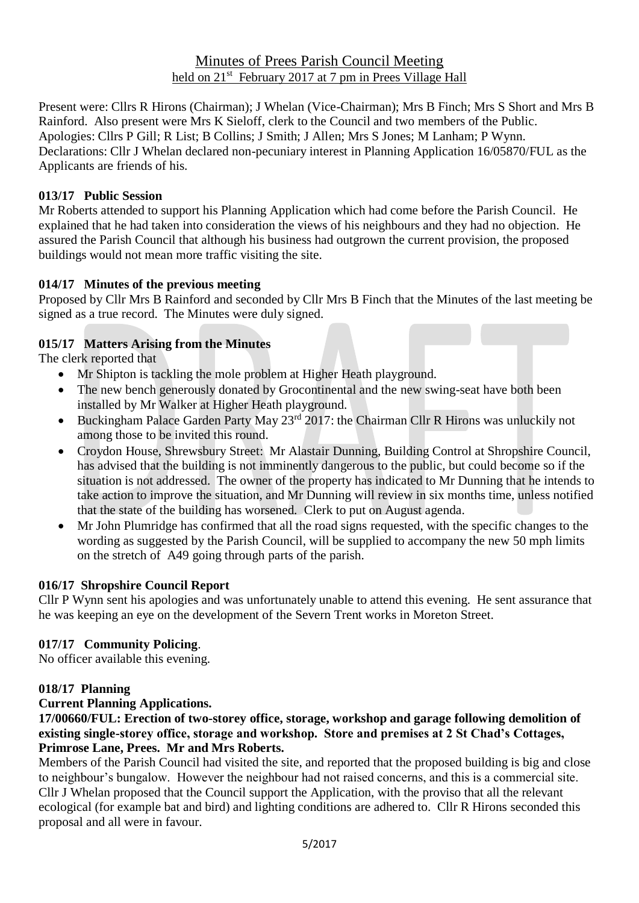# Minutes of Prees Parish Council Meeting held on 21<sup>st</sup> February 2017 at 7 pm in Prees Village Hall

Present were: Cllrs R Hirons (Chairman); J Whelan (Vice-Chairman); Mrs B Finch; Mrs S Short and Mrs B Rainford. Also present were Mrs K Sieloff, clerk to the Council and two members of the Public. Apologies: Cllrs P Gill; R List; B Collins; J Smith; J Allen; Mrs S Jones; M Lanham; P Wynn. Declarations: Cllr J Whelan declared non-pecuniary interest in Planning Application 16/05870/FUL as the Applicants are friends of his.

## **013/17 Public Session**

Mr Roberts attended to support his Planning Application which had come before the Parish Council. He explained that he had taken into consideration the views of his neighbours and they had no objection. He assured the Parish Council that although his business had outgrown the current provision, the proposed buildings would not mean more traffic visiting the site.

## **014/17 Minutes of the previous meeting**

Proposed by Cllr Mrs B Rainford and seconded by Cllr Mrs B Finch that the Minutes of the last meeting be signed as a true record. The Minutes were duly signed.

# **015/17 Matters Arising from the Minutes**

The clerk reported that

- Mr Shipton is tackling the mole problem at Higher Heath playground.
- The new bench generously donated by Grocontinental and the new swing-seat have both been installed by Mr Walker at Higher Heath playground.
- Buckingham Palace Garden Party May 23<sup>rd</sup> 2017: the Chairman Cllr R Hirons was unluckily not among those to be invited this round.
- Croydon House, Shrewsbury Street: Mr Alastair Dunning, Building Control at Shropshire Council, has advised that the building is not imminently dangerous to the public, but could become so if the situation is not addressed. The owner of the property has indicated to Mr Dunning that he intends to take action to improve the situation, and Mr Dunning will review in six months time, unless notified that the state of the building has worsened. Clerk to put on August agenda.
- Mr John Plumridge has confirmed that all the road signs requested, with the specific changes to the wording as suggested by the Parish Council, will be supplied to accompany the new 50 mph limits on the stretch of A49 going through parts of the parish.

# **016/17 Shropshire Council Report**

Cllr P Wynn sent his apologies and was unfortunately unable to attend this evening. He sent assurance that he was keeping an eye on the development of the Severn Trent works in Moreton Street.

# **017/17 Community Policing**.

No officer available this evening.

## **018/17 Planning**

## **Current Planning Applications.**

**17/00660/FUL: Erection of two-storey office, storage, workshop and garage following demolition of existing single-storey office, storage and workshop. Store and premises at 2 St Chad's Cottages, Primrose Lane, Prees. Mr and Mrs Roberts.**

Members of the Parish Council had visited the site, and reported that the proposed building is big and close to neighbour's bungalow. However the neighbour had not raised concerns, and this is a commercial site. Cllr J Whelan proposed that the Council support the Application, with the proviso that all the relevant ecological (for example bat and bird) and lighting conditions are adhered to. Cllr R Hirons seconded this proposal and all were in favour.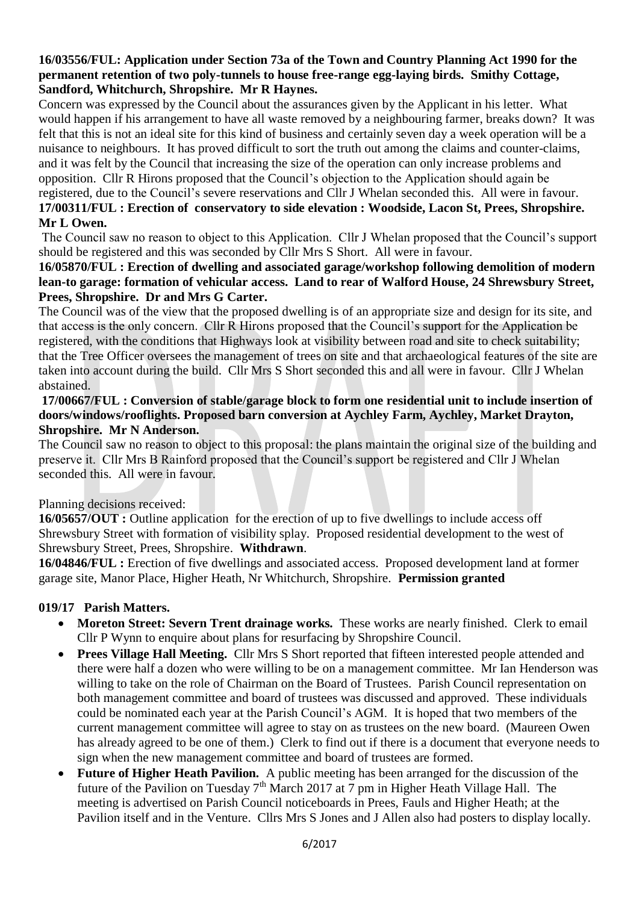### **16/03556/FUL: Application under Section 73a of the Town and Country Planning Act 1990 for the permanent retention of two poly-tunnels to house free-range egg-laying birds. Smithy Cottage, Sandford, Whitchurch, Shropshire. Mr R Haynes.**

Concern was expressed by the Council about the assurances given by the Applicant in his letter. What would happen if his arrangement to have all waste removed by a neighbouring farmer, breaks down? It was felt that this is not an ideal site for this kind of business and certainly seven day a week operation will be a nuisance to neighbours. It has proved difficult to sort the truth out among the claims and counter-claims, and it was felt by the Council that increasing the size of the operation can only increase problems and opposition. Cllr R Hirons proposed that the Council's objection to the Application should again be registered, due to the Council's severe reservations and Cllr J Whelan seconded this. All were in favour.

#### **17/00311/FUL : Erection of conservatory to side elevation : Woodside, Lacon St, Prees, Shropshire. Mr L Owen.**

The Council saw no reason to object to this Application. Cllr J Whelan proposed that the Council's support should be registered and this was seconded by Cllr Mrs S Short. All were in favour.

## **16/05870/FUL : Erection of dwelling and associated garage/workshop following demolition of modern lean-to garage: formation of vehicular access. Land to rear of Walford House, 24 Shrewsbury Street, Prees, Shropshire. Dr and Mrs G Carter.**

The Council was of the view that the proposed dwelling is of an appropriate size and design for its site, and that access is the only concern. Cllr R Hirons proposed that the Council's support for the Application be registered, with the conditions that Highways look at visibility between road and site to check suitability; that the Tree Officer oversees the management of trees on site and that archaeological features of the site are taken into account during the build. Cllr Mrs S Short seconded this and all were in favour. Cllr J Whelan abstained.

### **17/00667/FUL : Conversion of stable/garage block to form one residential unit to include insertion of doors/windows/rooflights. Proposed barn conversion at Aychley Farm, Aychley, Market Drayton, Shropshire. Mr N Anderson.**

The Council saw no reason to object to this proposal: the plans maintain the original size of the building and preserve it. Cllr Mrs B Rainford proposed that the Council's support be registered and Cllr J Whelan seconded this. All were in favour.

## Planning decisions received:

**16/05657/OUT :** Outline application for the erection of up to five dwellings to include access off Shrewsbury Street with formation of visibility splay. Proposed residential development to the west of Shrewsbury Street, Prees, Shropshire. **Withdrawn**.

**16/04846/FUL :** Erection of five dwellings and associated access. Proposed development land at former garage site, Manor Place, Higher Heath, Nr Whitchurch, Shropshire. **Permission granted**

# **019/17 Parish Matters.**

- Moreton Street: Severn Trent drainage works. These works are nearly finished. Clerk to email Cllr P Wynn to enquire about plans for resurfacing by Shropshire Council.
- **Prees Village Hall Meeting.** Cllr Mrs S Short reported that fifteen interested people attended and there were half a dozen who were willing to be on a management committee. Mr Ian Henderson was willing to take on the role of Chairman on the Board of Trustees. Parish Council representation on both management committee and board of trustees was discussed and approved. These individuals could be nominated each year at the Parish Council's AGM. It is hoped that two members of the current management committee will agree to stay on as trustees on the new board. (Maureen Owen has already agreed to be one of them.) Clerk to find out if there is a document that everyone needs to sign when the new management committee and board of trustees are formed.
- **Future of Higher Heath Pavilion.** A public meeting has been arranged for the discussion of the future of the Pavilion on Tuesday  $7<sup>th</sup>$  March 2017 at 7 pm in Higher Heath Village Hall. The meeting is advertised on Parish Council noticeboards in Prees, Fauls and Higher Heath; at the Pavilion itself and in the Venture. Cllrs Mrs S Jones and J Allen also had posters to display locally.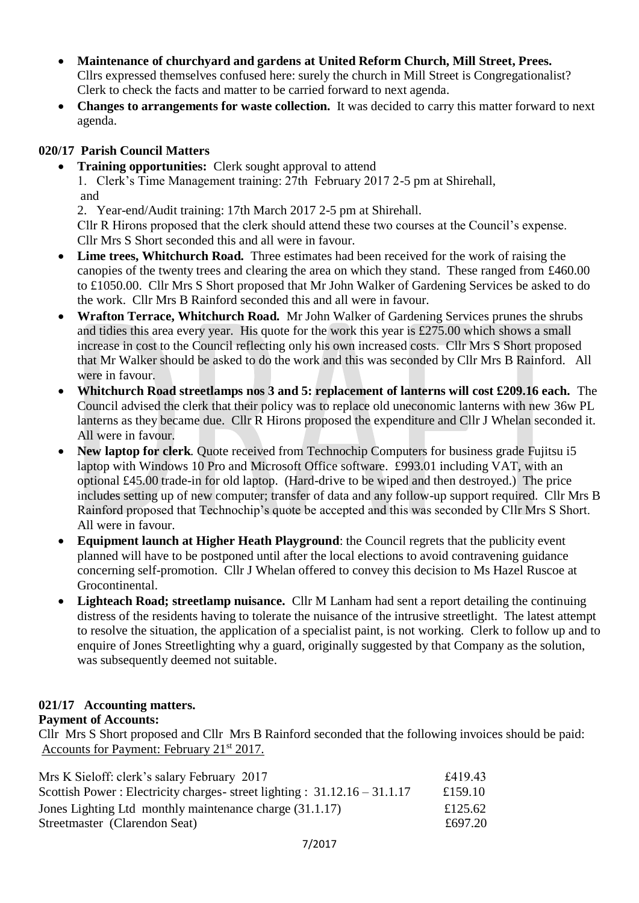- **Maintenance of churchyard and gardens at United Reform Church, Mill Street, Prees.** Cllrs expressed themselves confused here: surely the church in Mill Street is Congregationalist? Clerk to check the facts and matter to be carried forward to next agenda.
- **Changes to arrangements for waste collection.** It was decided to carry this matter forward to next agenda.

# **020/17 Parish Council Matters**

**Training opportunities:** Clerk sought approval to attend

 1. Clerk's Time Management training: 27th February 2017 2-5 pm at Shirehall, and

2. Year-end/Audit training: 17th March 2017 2-5 pm at Shirehall.

 Cllr R Hirons proposed that the clerk should attend these two courses at the Council's expense. Cllr Mrs S Short seconded this and all were in favour.

- Lime trees, Whitchurch Road. Three estimates had been received for the work of raising the canopies of the twenty trees and clearing the area on which they stand. These ranged from £460.00 to £1050.00. Cllr Mrs S Short proposed that Mr John Walker of Gardening Services be asked to do the work. Cllr Mrs B Rainford seconded this and all were in favour.
- **Wrafton Terrace, Whitchurch Road.** Mr John Walker of Gardening Services prunes the shrubs and tidies this area every year. His quote for the work this year is £275.00 which shows a small increase in cost to the Council reflecting only his own increased costs. Cllr Mrs S Short proposed that Mr Walker should be asked to do the work and this was seconded by Cllr Mrs B Rainford. All were in favour.
- **Whitchurch Road streetlamps nos 3 and 5: replacement of lanterns will cost £209.16 each.** The Council advised the clerk that their policy was to replace old uneconomic lanterns with new 36w PL lanterns as they became due. Cllr R Hirons proposed the expenditure and Cllr J Whelan seconded it. All were in favour.
- **New laptop for clerk**. Quote received from Technochip Computers for business grade Fujitsu i5 laptop with Windows 10 Pro and Microsoft Office software. £993.01 including VAT, with an optional £45.00 trade-in for old laptop. (Hard-drive to be wiped and then destroyed.) The price includes setting up of new computer; transfer of data and any follow-up support required. Cllr Mrs B Rainford proposed that Technochip's quote be accepted and this was seconded by Cllr Mrs S Short. All were in favour.
- **Equipment launch at Higher Heath Playground**: the Council regrets that the publicity event planned will have to be postponed until after the local elections to avoid contravening guidance concerning self-promotion. Cllr J Whelan offered to convey this decision to Ms Hazel Ruscoe at Grocontinental.
- **Lighteach Road; streetlamp nuisance.** Cllr M Lanham had sent a report detailing the continuing distress of the residents having to tolerate the nuisance of the intrusive streetlight. The latest attempt to resolve the situation, the application of a specialist paint, is not working. Clerk to follow up and to enquire of Jones Streetlighting why a guard, originally suggested by that Company as the solution, was subsequently deemed not suitable.

# **021/17 Accounting matters.**

# **Payment of Accounts:**

Cllr Mrs S Short proposed and Cllr Mrs B Rainford seconded that the following invoices should be paid: Accounts for Payment: February 21<sup>st</sup> 2017.

| £419.43 |
|---------|
| £159.10 |
| £125.62 |
| £697.20 |
|         |